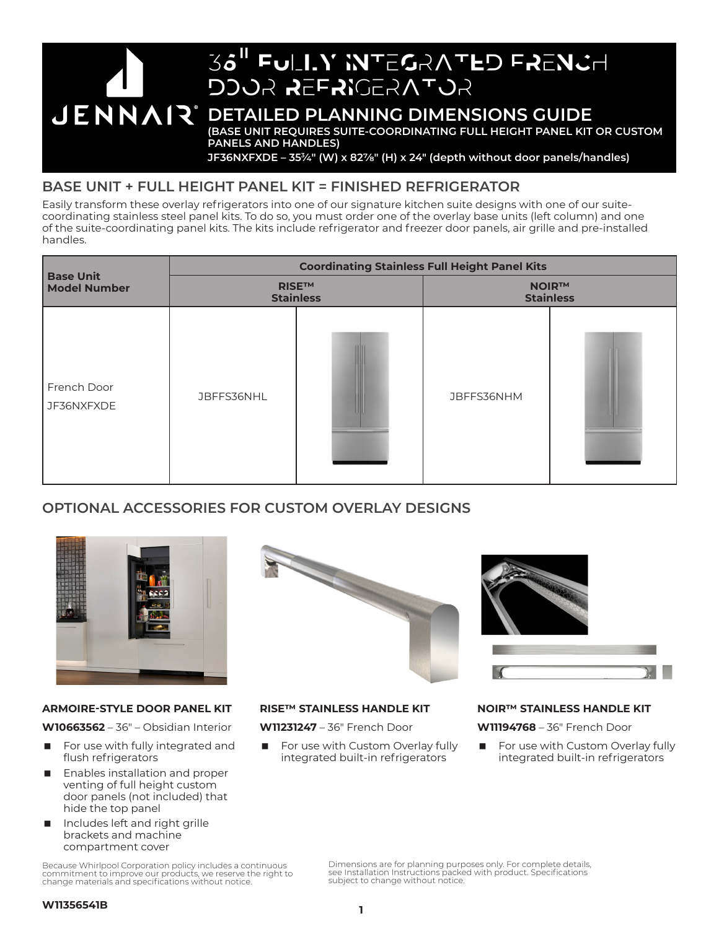

# **BASE UNIT + FULL HEIGHT PANEL KIT = FINISHED REFRIGERATOR**

Easily transform these overlay refrigerators into one of our signature kitchen suite designs with one of our suitecoordinating stainless steel panel kits. To do so, you must order one of the overlay base units (left column) and one of the suite-coordinating panel kits. The kits include refrigerator and freezer door panels, air grille and pre-installed handles.

|                                         | <b>Coordinating Stainless Full Height Panel Kits</b> |  |                                  |  |  |
|-----------------------------------------|------------------------------------------------------|--|----------------------------------|--|--|
| <b>Base Unit</b><br><b>Model Number</b> | <b>RISETM</b><br><b>Stainless</b>                    |  | <b>NOIR™</b><br><b>Stainless</b> |  |  |
| French Door<br>JF36NXFXDE               | JBFFS36NHL                                           |  | JBFFS36NHM                       |  |  |

# **OPTIONAL ACCESSORIES FOR CUSTOM OVERLAY DESIGNS**



### **ARMOIRE-STYLE DOOR PANEL KIT**

**W10663562** – 36" – Obsidian Interior

- For use with fully integrated and flush refrigerators
- Enables installation and proper venting of full height custom door panels (not included) that hide the top panel
- Includes left and right grille brackets and machine compartment cover

Because Whirlpool Corporation policy includes a continuous commitment to improve our products, we reserve the right to change materials and specifications without notice.





## **RISE™ STAINLESS HANDLE KIT**

**W11231247** – 36" French Door

 For use with Custom Overlay fully integrated built-in refrigerators

# **NOIR™ STAINLESS HANDLE KIT**

**W11194768** – 36" French Door

 For use with Custom Overlay fully integrated built-in refrigerators

Dimensions are for planning purposes only. For complete details, see Installation Instructions packed with product. Specifications subject to change without notice.

#### **W11356541B**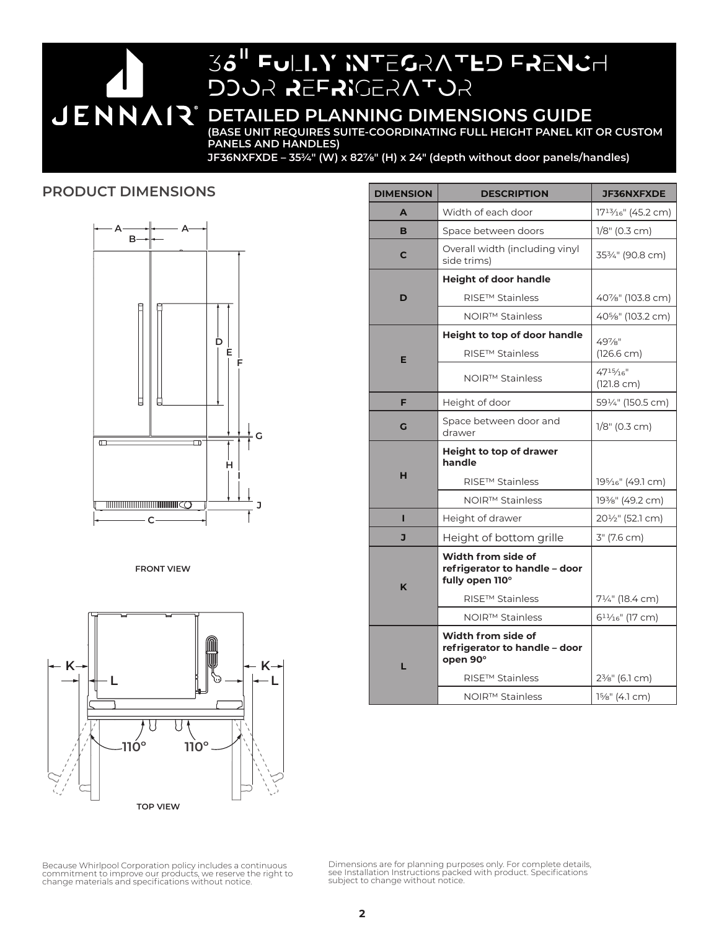# 36<sup>"</sup> Fully Integrated French DOOR REFRIGERATOR

# **JENNAIR** DETAILED PLANNING DIMENSIONS GUIDE

**(BASE UNIT REQUIRES SUITE-COORDINATING FULL HEIGHT PANEL KIT OR CUSTOM PANELS AND HANDLES)**

**JF36NXFXDE – 353⁄4" (W) x 827/8" (H) x 24" (depth without door panels/handles)**

# **PRODUCT DIMENSIONS**



**FRONT VIEW**



| <b>DIMENSION</b> | <b>DESCRIPTION</b>                                                     | <b>JF36NXFXDE</b>                            |
|------------------|------------------------------------------------------------------------|----------------------------------------------|
| A                | Width of each door                                                     | 17 <sup>13</sup> / <sub>16</sub> " (45.2 cm) |
| B                | Space between doors                                                    | $1/8$ " (0.3 cm)                             |
| C                | Overall width (including vinyl<br>side trims)                          | 353/4" (90.8 cm)                             |
|                  | <b>Height of door handle</b>                                           |                                              |
| D                | <b>RISE™ Stainless</b>                                                 | 40%" (103.8 cm)                              |
|                  | NOIR™ Stainless                                                        | 40%" (103.2 cm)                              |
|                  | <b>Height to top of door handle</b>                                    | 49 <sub>7/8</sub> "                          |
| E                | RISE™ Stainless                                                        | $(126.6 \text{ cm})$                         |
|                  | NOIR™ Stainless                                                        | $47^{15}/16''$<br>$(121.8 \text{ cm})$       |
| F                | Height of door                                                         | 591/4" (150.5 cm)                            |
| G                | Space between door and<br>drawer                                       | 1/8" (0.3 cm)                                |
| н                | Height to top of drawer<br>handle                                      |                                              |
|                  | RISE™ Stainless                                                        | 195/ <sub>16</sub> " (49.1 cm)               |
|                  | NOIR <sup>™</sup> Stainless                                            | 193/8" (49.2 cm)                             |
| ı                | Height of drawer                                                       | 201/ <sub>2</sub> " (52.1 cm)                |
| J                | Height of bottom grille                                                | 3" (7.6 cm)                                  |
| K                | Width from side of<br>refrigerator to handle - door<br>fully open 110° |                                              |
|                  | RISE™ Stainless                                                        | 71/4" (18.4 cm)                              |
|                  | NOIR™ Stainless                                                        | $61\frac{1}{16}$ " (17 cm)                   |
| г                | Width from side of                                                     |                                              |
|                  | refrigerator to handle - door<br>open 90°                              |                                              |
|                  | RISE™ Stainless                                                        | 2 <sup>3</sup> / <sub>8</sub> " (6.1 cm)     |

Because Whirlpool Corporation policy includes a continuous<br>commitment to improve our products, we reserve the right to<br>change materials and specifications without notice.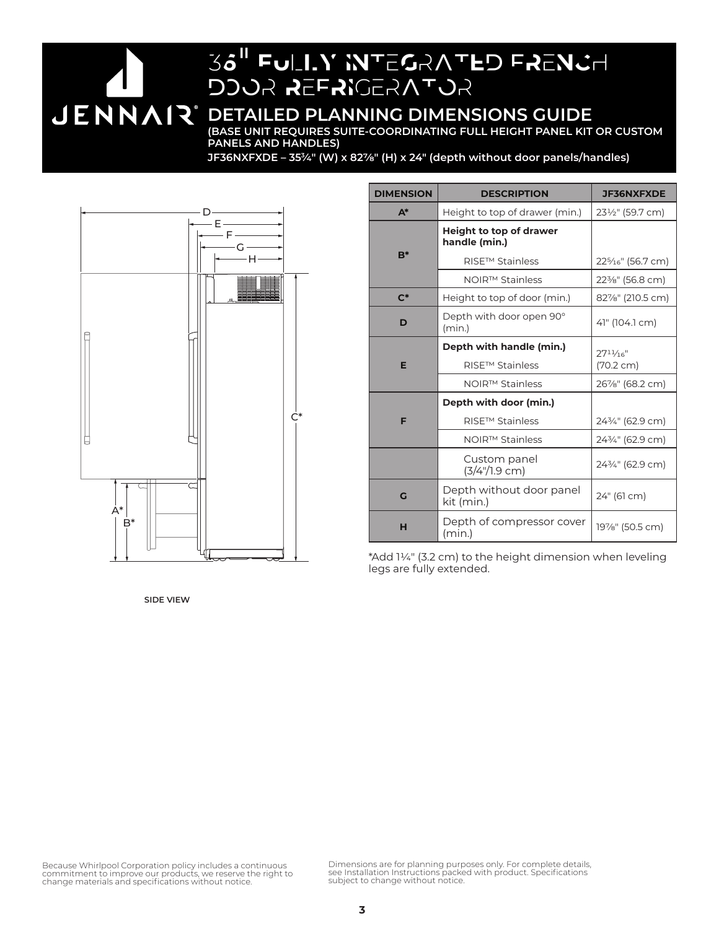# 36<sup>"</sup> Fully Integrated French DOOR REFRIGERATOR **JENNAIR** DETAILED PLANNING DIMENSIONS GUIDE **(BASE UNIT REQUIRES SUITE-COORDINATING FULL HEIGHT PANEL KIT OR CUSTOM**

**PANELS AND HANDLES)**

**JF36NXFXDE – 353⁄4" (W) x 827/8" (H) x 24" (depth without door panels/handles)**



| <b>DIMENSION</b> | <b>DESCRIPTION</b>                              | <b>JF36NXFXDE</b>                          |
|------------------|-------------------------------------------------|--------------------------------------------|
| $A^*$            | Height to top of drawer (min.)                  | 231/2" (59.7 cm)                           |
|                  | <b>Height to top of drawer</b><br>handle (min.) |                                            |
| $B^*$            | <b>RISE™ Stainless</b>                          | 225/16" (56.7 cm)                          |
|                  | NOIR™ Stainless                                 | 22 <sup>3</sup> / <sub>8</sub> " (56.8 cm) |
| $C^*$            | Height to top of door (min.)                    | 82%" (210.5 cm)                            |
| D                | Depth with door open 90°<br>(min.)              | 41" (104.1 cm)                             |
| E                | Depth with handle (min.)                        | $27^{11}/16''$                             |
|                  | <b>RISE™ Stainless</b>                          | (70.2 cm)                                  |
|                  | NOIR™ Stainless                                 | 26%" (68.2 cm)                             |
|                  | Depth with door (min.)                          |                                            |
| F                | <b>RISE™ Stainless</b>                          | 243/4" (62.9 cm)                           |
|                  | NOIR™ Stainless                                 | 243/4" (62.9 cm)                           |
|                  | Custom panel<br>$(3/4)/1.9$ cm)                 | 243/4" (62.9 cm)                           |
| G                | Depth without door panel<br>kit (min.)          | 24" (61 cm)                                |
| н                | Depth of compressor cover<br>(min.)             | 19%" (50.5 cm)                             |

\*Add 11/4" (3.2 cm) to the height dimension when leveling legs are fully extended.

**SIDE VIEW**

Because Whirlpool Corporation policy includes a continuous<br>commitment to improve our products, we reserve the right to<br>change materials and specifications without notice.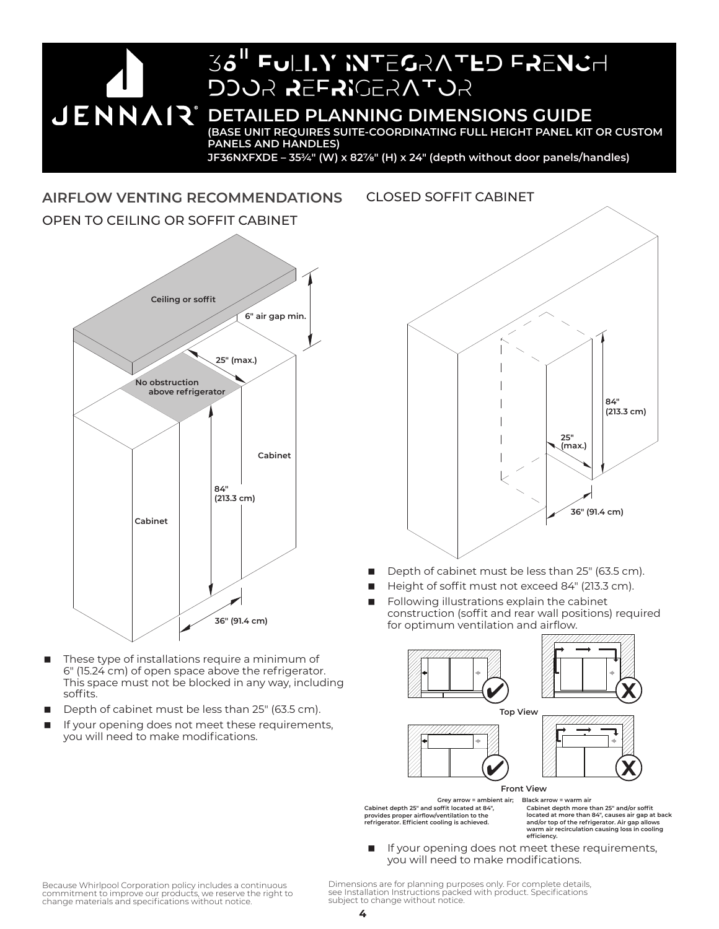36<sup>"</sup> Fully Integrated French DOOR REFRIGERATOR **JENNAR** BETAILED PLANNING DIMENSIONS GUIDE **(BASE UNIT REQUIRES SUITE-COORDINATING FULL HEIGHT PANEL KIT OR CUSTOM PANELS AND HANDLES) JF36NXFXDE – 353⁄4" (W) x 827/8" (H) x 24" (depth without door panels/handles)**

**AIRFLOW VENTING RECOMMENDATIONS** OPEN TO CEILING OR SOFFIT CABINET



- These type of installations require a minimum of 6" (15.24 cm) of open space above the refrigerator. This space must not be blocked in any way, including soffits.
- Depth of cabinet must be less than 25" (63.5 cm).
- If your opening does not meet these requirements, you will need to make modifications.



- Depth of cabinet must be less than 25" (63.5 cm).
- Height of soffit must not exceed 84" (213.3 cm).
- Following illustrations explain the cabinet construction (soffit and rear wall positions) required for optimum ventilation and airflow.









**Front View**

**Cabinet depth 25" and soffit located at 84", provides proper airflow/ventilation to the refrigerator. Efficient cooling is achieved. Grey arrow = ambient air; Black arrow = warm air**

**Cabinet depth more than 25" and/or soffit located at more than 84", causes air gap at back and/or top of the refrigerator. Air gap allows warm air recirculation causing loss in cooling efficiency.**

■ If your opening does not meet these requirements, you will need to make modifications.

Because Whirlpool Corporation policy includes a continuous commitment to improve our products, we reserve the right to change materials and specifications without notice.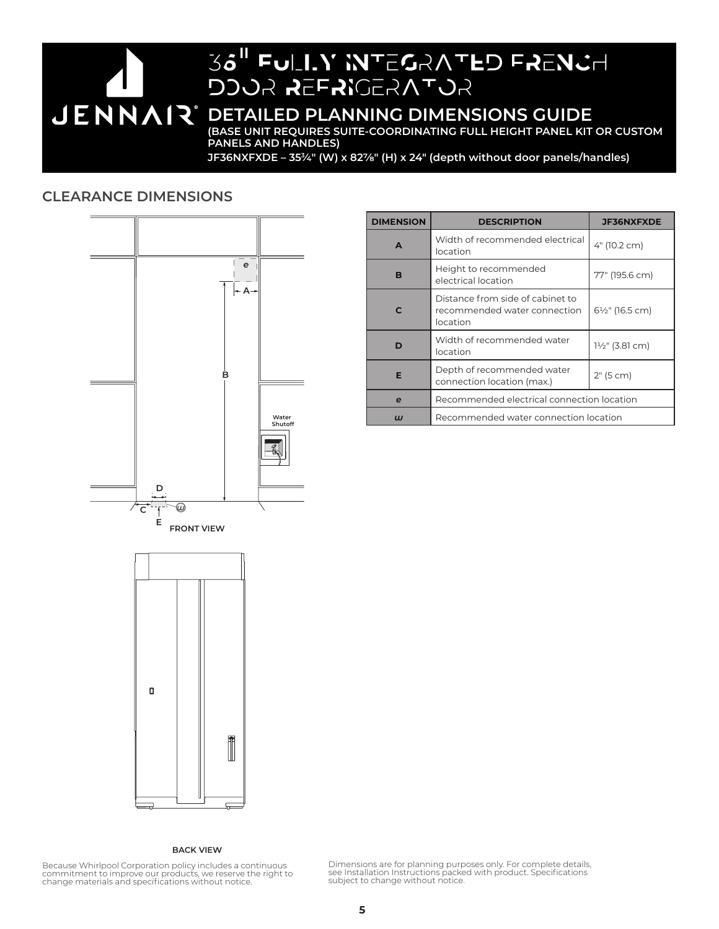

JF36NXFXDE - 35<sup>3</sup>/4" (W) x 82<sup>7</sup>/<sub>8</sub>" (H) x 24" (depth without door panels/handles)

# **CLEARANCE DIMENSIONS**



| <b>DIMENSION</b> | <b>DESCRIPTION</b>                                                           | <b>JF36NXFXDE</b>            |  |
|------------------|------------------------------------------------------------------------------|------------------------------|--|
| A                | Width of recommended electrical<br>location                                  | 4" (10.2 cm)                 |  |
| в                | Height to recommended<br>electrical location                                 | 77" (195.6 cm)               |  |
| C                | Distance from side of cabinet to<br>recommended water connection<br>location | 61/ <sub>2</sub> " (16.5 cm) |  |
| D                | Width of recommended water<br>location                                       | 1½" (3.81 cm)                |  |
| Е                | Depth of recommended water<br>connection location (max.)                     | 2" (5 cm)                    |  |
| e                | Recommended electrical connection location                                   |                              |  |
| ய                | Recommended water connection location                                        |                              |  |



#### **BACK VIEW**

Because Whirlpool Corporation policy includes a continuous commitment to improve our products, we reserve the right to change materials and specifications without notice.